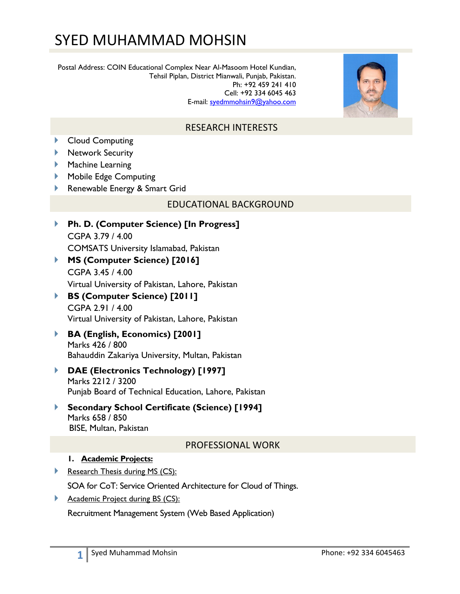# SYED MUHAMMAD MOHSIN

Postal Address: COIN Educational Complex Near Al-Masoom Hotel Kundian, Tehsil Piplan, District Mianwali, Punjab, Pakistan. Ph: +92 459 241 410 Cell: +92 334 6045 463 E-mail: syedmmohsin9@yahoo.com



# RESEARCH INTERESTS

- Cloud Computing
- **Network Security**
- **Machine Learning**
- **Mobile Edge Computing**
- Renewable Energy & Smart Grid

#### EDUCATIONAL BACKGROUND

- **Ph. D. (Computer Science) [In Progress]**  CGPA 3.79 / 4.00 COMSATS University Islamabad, Pakistan
- **MS (Computer Science) [2016]**  CGPA 3.45 / 4.00 Virtual University of Pakistan, Lahore, Pakistan
- **BS (Computer Science) [2011]**  CGPA 2.91 / 4.00 Virtual University of Pakistan, Lahore, Pakistan
- **BA (English, Economics) [2001]** Marks 426 / 800 Bahauddin Zakariya University, Multan, Pakistan
- **DAE (Electronics Technology) [1997]**  Marks 2212 / 3200 Punjab Board of Technical Education, Lahore, Pakistan
- **Secondary School Certificate (Science) [1994]**  Marks 658 / 850 BISE, Multan, Pakistan

#### PROFESSIONAL WORK

#### **1. Academic Projects:**

Research Thesis during MS (CS):

SOA for CoT: Service Oriented Architecture for Cloud of Things.

Academic Project during BS (CS):

Recruitment Management System (Web Based Application)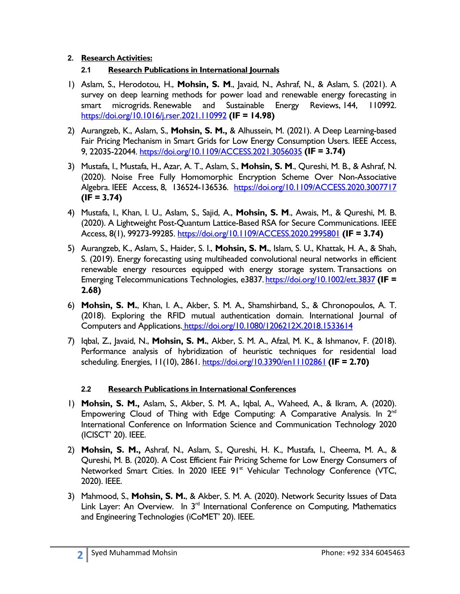#### **2. Research Activities:**

## **2.1 Research Publications in International Journals**

- 1) Aslam, S., Herodotou, H., **Mohsin, S. M**., Javaid, N., Ashraf, N., & Aslam, S. (2021). A survey on deep learning methods for power load and renewable energy forecasting in smart microgrids. Renewable and Sustainable Energy Reviews, 144, 110992. https://doi.org/10.1016/j.rser.2021.110992 **(IF = 14.98)**
- 2) Aurangzeb, K., Aslam, S., **Mohsin, S. M.,** & Alhussein, M. (2021). A Deep Learning-based Fair Pricing Mechanism in Smart Grids for Low Energy Consumption Users. IEEE Access, 9, 22035-22044. https://doi.org/10.1109/ACCESS.2021.3056035 **(IF = 3.74)**
- 3) Mustafa, I., Mustafa, H., Azar, A. T., Aslam, S., **Mohsin, S. M**., Qureshi, M. B., & Ashraf, N. (2020). Noise Free Fully Homomorphic Encryption Scheme Over Non-Associative Algebra. IEEE Access, 8, 136524-136536. https://doi.org/10.1109/ACCESS.2020.3007717 **(IF = 3.74)**
- 4) Mustafa, I., Khan, I. U., Aslam, S., Sajid, A., **Mohsin, S. M**., Awais, M., & Qureshi, M. B. (2020). A Lightweight Post-Quantum Lattice-Based RSA for Secure Communications. IEEE Access, 8(1), 99273-99285. https://doi.org/10.1109/ACCESS.2020.2995801 **(IF = 3.74)**
- 5) Aurangzeb, K., Aslam, S., Haider, S. I., **Mohsin, S. M.**, Islam, S. U., Khattak, H. A., & Shah, S. (2019). Energy forecasting using multiheaded convolutional neural networks in efficient renewable energy resources equipped with energy storage system. Transactions on Emerging Telecommunications Technologies, e3837. https://doi.org/10.1002/ett.3837 **(IF = 2.68)**
- 6) **Mohsin, S. M.**, Khan, I. A., Akber, S. M. A., Shamshirband, S., & Chronopoulos, A. T. (2018). Exploring the RFID mutual authentication domain. International Journal of Computers and Applications. https://doi.org/10.1080/1206212X.2018.1533614
- 7) Iqbal, Z., Javaid, N., **Mohsin, S. M.**, Akber, S. M. A., Afzal, M. K., & Ishmanov, F. (2018). Performance analysis of hybridization of heuristic techniques for residential load scheduling. Energies, 11(10), 2861. https://doi.org/10.3390/en11102861 **(IF = 2.70)**

## **2.2 Research Publications in International Conferences**

- 1) **Mohsin, S. M.,** Aslam, S., Akber, S. M. A., Iqbal, A., Waheed, A., & Ikram, A. (2020). Empowering Cloud of Thing with Edge Computing: A Comparative Analysis. In  $2<sup>nd</sup>$ International Conference on Information Science and Communication Technology 2020 (ICISCT' 20). IEEE.
- 2) **Mohsin, S. M.,** Ashraf, N., Aslam, S., Qureshi, H. K., Mustafa, I., Cheema, M. A., & Qureshi, M. B. (2020). A Cost Efficient Fair Pricing Scheme for Low Energy Consumers of Networked Smart Cities. In 2020 IEEE 91<sup>st</sup> Vehicular Technology Conference (VTC, 2020). IEEE.
- 3) Mahmood, S., **Mohsin, S. M.**, & Akber, S. M. A. (2020). Network Security Issues of Data Link Layer: An Overview. In 3<sup>rd</sup> International Conference on Computing, Mathematics and Engineering Technologies (iCoMET' 20). IEEE.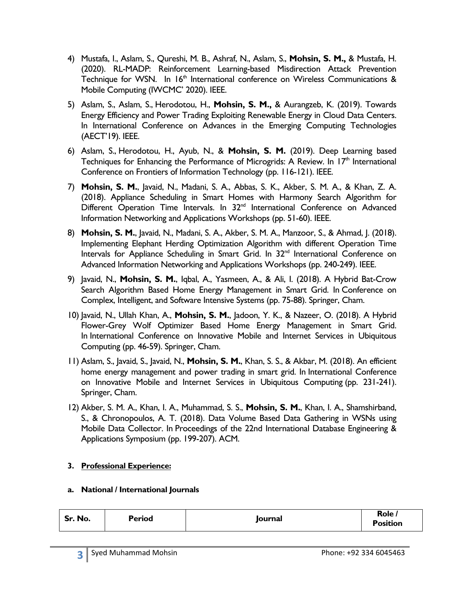- 4) Mustafa, I., Aslam, S., Qureshi, M. B., Ashraf, N., Aslam, S., **Mohsin, S. M.,** & Mustafa, H. (2020). RL-MADP: Reinforcement Learning-based Misdirection Attack Prevention Technique for WSN. In  $16<sup>th</sup>$  International conference on Wireless Communications & Mobile Computing (IWCMC' 2020). IEEE.
- 5) Aslam, S., Aslam, S., Herodotou, H., **Mohsin, S. M.,** & Aurangzeb, K. (2019). Towards Energy Efficiency and Power Trading Exploiting Renewable Energy in Cloud Data Centers. In International Conference on Advances in the Emerging Computing Technologies (AECT'19). IEEE.
- 6) Aslam, S., Herodotou, H., Ayub, N., & **Mohsin, S. M.** (2019). Deep Learning based Techniques for Enhancing the Performance of Microgrids: A Review. In 17<sup>th</sup> International Conference on Frontiers of Information Technology (pp. 116-121). IEEE.
- 7) **Mohsin, S. M.**, Javaid, N., Madani, S. A., Abbas, S. K., Akber, S. M. A., & Khan, Z. A. (2018). Appliance Scheduling in Smart Homes with Harmony Search Algorithm for Different Operation Time Intervals. In 32<sup>nd</sup> International Conference on Advanced Information Networking and Applications Workshops (pp. 51-60). IEEE.
- 8) **Mohsin, S. M.**, Javaid, N., Madani, S. A., Akber, S. M. A., Manzoor, S., & Ahmad, J. (2018). Implementing Elephant Herding Optimization Algorithm with different Operation Time Intervals for Appliance Scheduling in Smart Grid. In 32<sup>nd</sup> International Conference on Advanced Information Networking and Applications Workshops (pp. 240-249). IEEE.
- 9) Javaid, N., **Mohsin, S. M.**, Iqbal, A., Yasmeen, A., & Ali, I. (2018). A Hybrid Bat-Crow Search Algorithm Based Home Energy Management in Smart Grid. In Conference on Complex, Intelligent, and Software Intensive Systems (pp. 75-88). Springer, Cham.
- 10) Javaid, N., Ullah Khan, A., **Mohsin, S. M.**, Jadoon, Y. K., & Nazeer, O. (2018). A Hybrid Flower-Grey Wolf Optimizer Based Home Energy Management in Smart Grid. In International Conference on Innovative Mobile and Internet Services in Ubiquitous Computing (pp. 46-59). Springer, Cham.
- 11) Aslam, S., Javaid, S., Javaid, N., **Mohsin, S. M.**, Khan, S. S., & Akbar, M. (2018). An efficient home energy management and power trading in smart grid. In International Conference on Innovative Mobile and Internet Services in Ubiquitous Computing (pp. 231-241). Springer, Cham.
- 12) Akber, S. M. A., Khan, I. A., Muhammad, S. S., **Mohsin, S. M.**, Khan, I. A., Shamshirband, S., & Chronopoulos, A. T. (2018). Data Volume Based Data Gathering in WSNs using Mobile Data Collector. In Proceedings of the 22nd International Database Engineering & Applications Symposium (pp. 199-207). ACM.

#### **3. Professional Experience:**

#### **a. National / International Journals**

| Sr. No. | <b>Period</b> | Journal | Role ,<br>Position |
|---------|---------------|---------|--------------------|
|         |               |         |                    |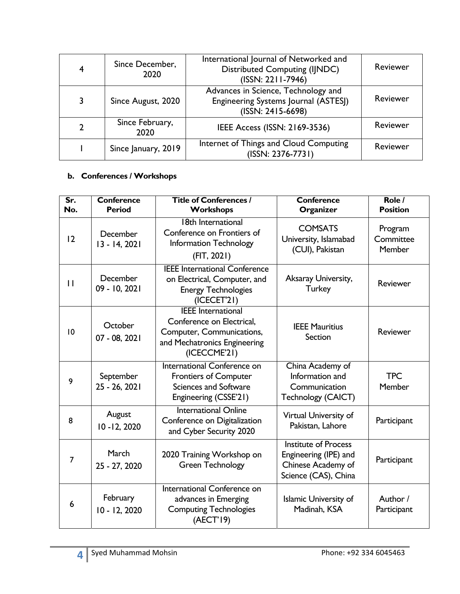| 4              | Since December,<br>2020 | International Journal of Networked and<br>Distributed Computing (IJNDC)<br>(ISSN: 2211-7946)     | Reviewer |
|----------------|-------------------------|--------------------------------------------------------------------------------------------------|----------|
| 3              | Since August, 2020      | Advances in Science, Technology and<br>Engineering Systems Journal (ASTESJ)<br>(ISSN: 2415-6698) | Reviewer |
| $\overline{2}$ | Since February,<br>2020 | IEEE Access (ISSN: 2169-3536)                                                                    | Reviewer |
|                | Since January, 2019     | Internet of Things and Cloud Computing<br>(ISSN: 2376-7731)                                      | Reviewer |

#### **b. Conferences / Workshops**

| Sr.<br>No.     | <b>Conference</b><br><b>Period</b> | <b>Title of Conferences /</b><br>Workshops                                                                                          | <b>Conference</b><br>Organizer                                                                     | Role /<br><b>Position</b>             |
|----------------|------------------------------------|-------------------------------------------------------------------------------------------------------------------------------------|----------------------------------------------------------------------------------------------------|---------------------------------------|
| 12             | December<br>13 - 14, 2021          | 18th International<br>Conference on Frontiers of<br><b>Information Technology</b><br>(FIT, 2021)                                    | <b>COMSATS</b><br>University, Islamabad<br>(CUI), Pakistan                                         | Program<br>Committee<br><b>Member</b> |
| $\mathbf{1}$   | December<br>09 - 10, 2021          | <b>IEEE International Conference</b><br>on Electrical, Computer, and<br><b>Energy Technologies</b><br>(ICECET'21)                   | Aksaray University,<br><b>Turkey</b>                                                               | <b>Reviewer</b>                       |
| 10             | October<br>07 - 08, 2021           | <b>IEEE</b> International<br>Conference on Electrical,<br>Computer, Communications,<br>and Mechatronics Engineering<br>(ICECCME'21) | <b>IEEE Mauritius</b><br>Section                                                                   | Reviewer                              |
| 9              | September<br>25 - 26, 2021         | International Conference on<br><b>Frontiers of Computer</b><br><b>Sciences and Software</b><br>Engineering (CSSE'21)                | China Academy of<br>Information and<br>Communication<br>Technology (CAICT)                         | <b>TPC</b><br>Member                  |
| 8              | August<br>$10 - 12, 2020$          | <b>International Online</b><br>Conference on Digitalization<br>and Cyber Security 2020                                              | Virtual University of<br>Pakistan, Lahore                                                          | Participant                           |
| $\overline{7}$ | March<br>25 - 27, 2020             | 2020 Training Workshop on<br><b>Green Technology</b>                                                                                | <b>Institute of Process</b><br>Engineering (IPE) and<br>Chinese Academy of<br>Science (CAS), China | Participant                           |
| 6              | February<br>10 - 12, 2020          | International Conference on<br>advances in Emerging<br><b>Computing Technologies</b><br>(AECT'19)                                   | <b>Islamic University of</b><br>Madinah, KSA                                                       | Author /<br>Participant               |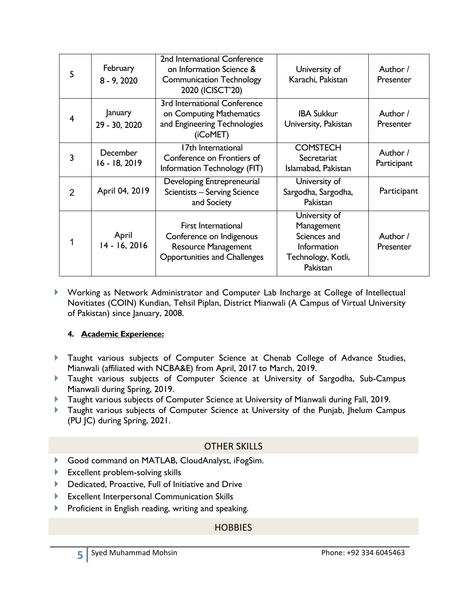| 5 | February<br>$8 - 9, 2020$ | 2nd International Conference<br>on Information Science &<br><b>Communication Technology</b><br>2020 (ICISCT'20)             | University of<br>Karachi, Pakistan                                                                  | Author /<br>Presenter   |
|---|---------------------------|-----------------------------------------------------------------------------------------------------------------------------|-----------------------------------------------------------------------------------------------------|-------------------------|
| 4 | January<br>29 - 30, 2020  | 3rd International Conference<br>on Computing Mathematics<br>and Engineering Technologies<br>(iCoMET)                        | <b>IBA Sukkur</b><br>University, Pakistan                                                           | Author /<br>Presenter   |
| 3 | December<br>16 - 18, 2019 | 17th International<br>Conference on Frontiers of<br>Information Technology (FIT)                                            | <b>COMSTECH</b><br>Secretariat<br>Islamabad, Pakistan                                               | Author /<br>Participant |
| 2 | April 04, 2019            | Developing Entrepreneurial<br>Scientists - Serving Science<br>and Society                                                   | University of<br>Sargodha, Sargodha,<br>Pakistan                                                    | Participant             |
| 1 | April<br>14 - 16, 2016    | <b>First International</b><br>Conference on Indigenous<br><b>Resource Management</b><br><b>Opportunities and Challenges</b> | University of<br>Management<br>Sciences and<br><b>Information</b><br>Technology, Kotli,<br>Pakistan | Author /<br>Presenter   |

 Working as Network Administrator and Computer Lab Incharge at College of Intellectual Novitiates (COIN) Kundian, Tehsil Piplan, District Mianwali (A Campus of Virtual University of Pakistan) since January, 2008.

#### **4. Academic Experience:**

- Taught various subjects of Computer Science at Chenab College of Advance Studies, Mianwali (affiliated with NCBA&E) from April, 2017 to March, 2019.
- **Taught various subjects of Computer Science at University of Sargodha, Sub-Campus** Mianwali during Spring, 2019.
- **Taught various subjects of Computer Science at University of Mianwali during Fall, 2019.**
- Taught various subjects of Computer Science at University of the Punjab, Jhelum Campus (PU JC) during Spring, 2021.

## OTHER SKILLS

- Good command on MATLAB, CloudAnalyst, iFogSim.
- Excellent problem-solving skills
- Dedicated, Proactive, Full of Initiative and Drive
- Excellent Interpersonal Communication Skills
- Proficient in English reading, writing and speaking.

# **HOBBIES**